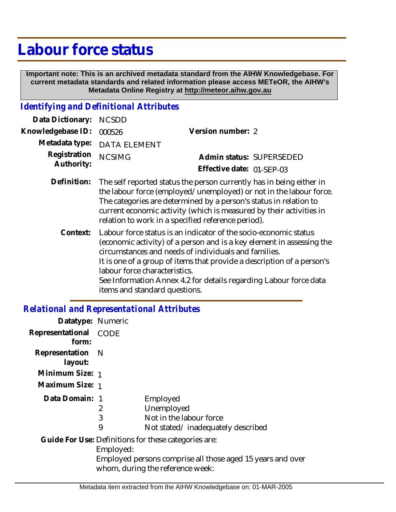# **Labour force status**

 **Important note: This is an archived metadata standard from the AIHW Knowledgebase. For current metadata standards and related information please access METeOR, the AIHW's Metadata Online Registry at http://meteor.aihw.gov.au**

## *Identifying and Definitional Attributes*

| Data Dictionary: NCSDD            |                                                                                                                                                                                   |                           |                          |
|-----------------------------------|-----------------------------------------------------------------------------------------------------------------------------------------------------------------------------------|---------------------------|--------------------------|
| Knowledgebase ID: 000526          |                                                                                                                                                                                   | Version number: 2         |                          |
|                                   | Metadata type: DATA ELEMENT                                                                                                                                                       |                           |                          |
| Registration NCSIMG<br>Authority: |                                                                                                                                                                                   |                           | Admin status: SUPERSEDED |
|                                   |                                                                                                                                                                                   | Effective date: 01-SEP-03 |                          |
|                                   | Definition: The self reported status the person currently has in being either in<br>وسمائه ويتمام المسالم والمستوطئ والمستوين والمتسممين فالمستنب المستول ومستحا ويستمراه المسالا |                           |                          |

- the labour force (employed/unemployed) or not in the labour force. The categories are determined by a person's status in relation to current economic activity (which is measured by their activities in relation to work in a specified reference period).
	- Labour force status is an indicator of the socio-economic status (economic activity) of a person and is a key element in assessing the circumstances and needs of individuals and families. It is one of a group of items that provide a description of a person's labour force characteristics. See Information Annex 4.2 for details regarding Labour force data items and standard questions. **Context:**

#### *Relational and Representational Attributes*

| Datatype: Numeric              |           |                                                                                                |
|--------------------------------|-----------|------------------------------------------------------------------------------------------------|
| Representational CODE<br>form: |           |                                                                                                |
| Representation N<br>layout:    |           |                                                                                                |
| Minimum Size: 1                |           |                                                                                                |
| Maximum Size: 1                |           |                                                                                                |
| Data Domain: 1                 |           | Employed                                                                                       |
|                                | 2         | Unemployed                                                                                     |
|                                | 3         | Not in the labour force                                                                        |
|                                | 9         | Not stated/inadequately described                                                              |
|                                | Employed: | Guide For Use: Definitions for these categories are:                                           |
|                                |           | Employed persons comprise all those aged 15 years and over<br>whom, during the reference week: |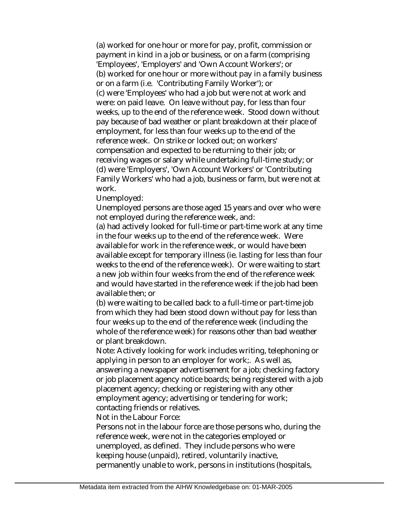(a) worked for one hour or more for pay, profit, commission or payment in kind in a job or business, or on a farm (comprising 'Employees', 'Employers' and 'Own Account Workers'; or (b) worked for one hour or more without pay in a family business or on a farm (i.e. 'Contributing Family Worker'); or (c) were 'Employees' who had a job but were not at work and were: on paid leave. On leave without pay, for less than four weeks, up to the end of the reference week. Stood down without pay because of bad weather or plant breakdown at their place of employment, for less than four weeks up to the end of the reference week. On strike or locked out; on workers' compensation and expected to be returning to their job; or receiving wages or salary while undertaking full-time study; or (d) were 'Employers', 'Own Account Workers' or 'Contributing Family Workers' who had a job, business or farm, but were not at work.

Unemployed:

Unemployed persons are those aged 15 years and over who were not employed during the reference week, and:

(a) had actively looked for full-time or part-time work at any time in the four weeks up to the end of the reference week. Were available for work in the reference week, or would have been available except for temporary illness (ie. lasting for less than four weeks to the end of the reference week). Or were waiting to start a new job within four weeks from the end of the reference week and would have started in the reference week if the job had been available then; or

(b) were waiting to be called back to a full-time or part-time job from which they had been stood down without pay for less than four weeks up to the end of the reference week (including the whole of the reference week) for reasons other than bad weather or plant breakdown.

Note: Actively looking for work includes writing, telephoning or applying in person to an employer for work;. As well as,

answering a newspaper advertisement for a job; checking factory or job placement agency notice boards; being registered with a job placement agency; checking or registering with any other employment agency; advertising or tendering for work; contacting friends or relatives.

Not in the Labour Force:

Persons not in the labour force are those persons who, during the reference week, were not in the categories employed or unemployed, as defined. They include persons who were keeping house (unpaid), retired, voluntarily inactive, permanently unable to work, persons in institutions (hospitals,